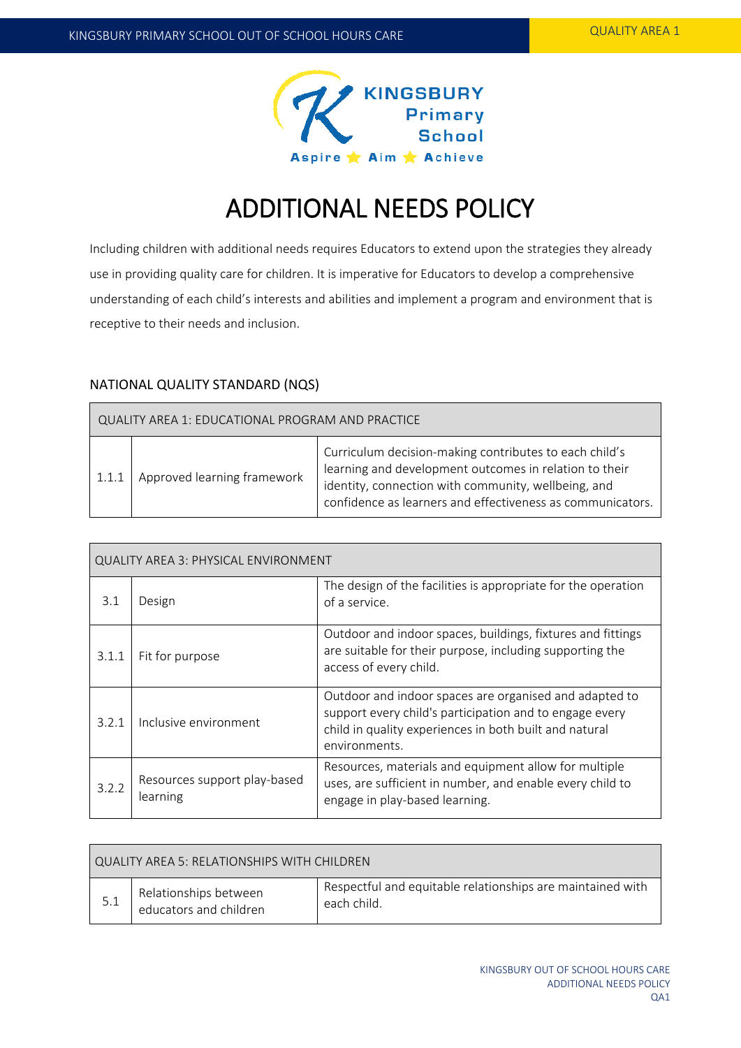

# ADDITIONAL NEEDS POLICY

Including children with additional needs requires Educators to extend upon the strategies they already use in providing quality care for children. It is imperative for Educators to develop a comprehensive understanding of each child's interests and abilities and implement a program and environment that is receptive to their needs and inclusion.

# NATIONAL QUALITY STANDARD (NQS)

| QUALITY AREA 1: EDUCATIONAL PROGRAM AND PRACTICE |                             |                                                                                                                                                                                                                                       |
|--------------------------------------------------|-----------------------------|---------------------------------------------------------------------------------------------------------------------------------------------------------------------------------------------------------------------------------------|
| 1.1.1                                            | Approved learning framework | Curriculum decision-making contributes to each child's<br>learning and development outcomes in relation to their<br>identity, connection with community, wellbeing, and<br>confidence as learners and effectiveness as communicators. |

| <b>QUALITY AREA 3: PHYSICAL ENVIRONMENT</b> |                                          |                                                                                                                                                                                              |  |
|---------------------------------------------|------------------------------------------|----------------------------------------------------------------------------------------------------------------------------------------------------------------------------------------------|--|
| 3.1                                         | Design                                   | The design of the facilities is appropriate for the operation<br>of a service.                                                                                                               |  |
| 3.1.1                                       | Fit for purpose                          | Outdoor and indoor spaces, buildings, fixtures and fittings<br>are suitable for their purpose, including supporting the<br>access of every child.                                            |  |
| 3.2.1                                       | Inclusive environment                    | Outdoor and indoor spaces are organised and adapted to<br>support every child's participation and to engage every<br>child in quality experiences in both built and natural<br>environments. |  |
| 3.2.2                                       | Resources support play-based<br>learning | Resources, materials and equipment allow for multiple<br>uses, are sufficient in number, and enable every child to<br>engage in play-based learning.                                         |  |

| QUALITY AREA 5: RELATIONSHIPS WITH CHILDREN |                                                 |                                                                           |  |
|---------------------------------------------|-------------------------------------------------|---------------------------------------------------------------------------|--|
|                                             | Relationships between<br>educators and children | Respectful and equitable relationships are maintained with<br>each child. |  |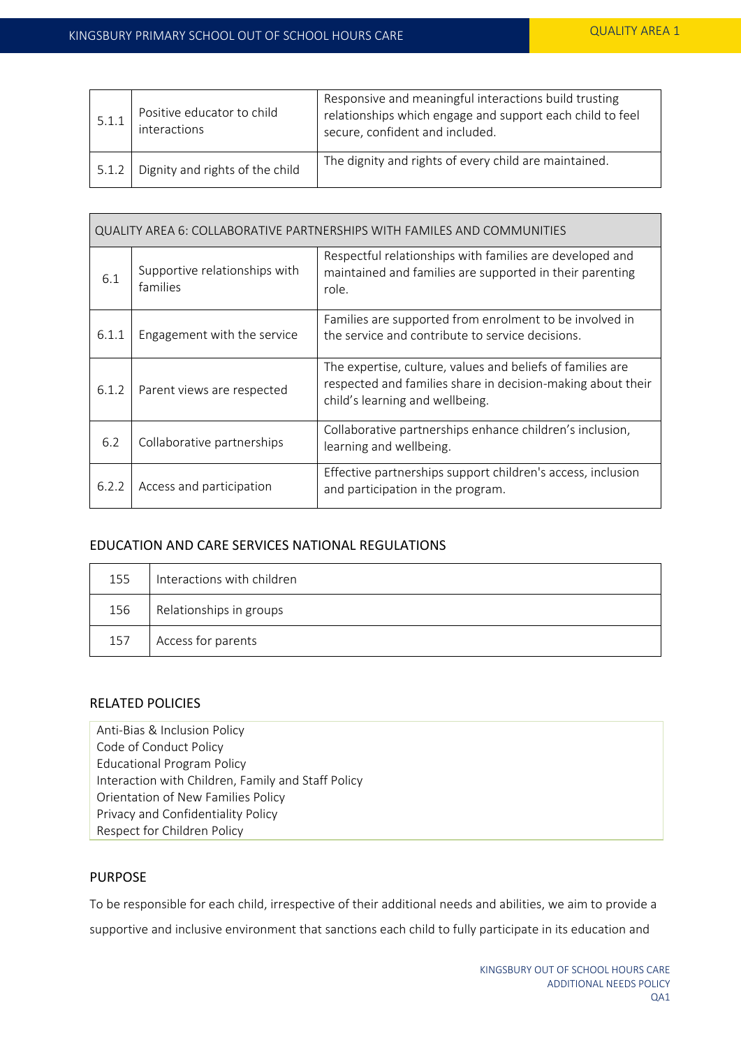| 5.1.1 | Positive educator to child<br>interactions | Responsive and meaningful interactions build trusting<br>relationships which engage and support each child to feel<br>secure, confident and included. |
|-------|--------------------------------------------|-------------------------------------------------------------------------------------------------------------------------------------------------------|
| 5.1.2 | Dignity and rights of the child            | The dignity and rights of every child are maintained.                                                                                                 |

| QUALITY AREA 6: COLLABORATIVE PARTNERSHIPS WITH FAMILES AND COMMUNITIES |                                           |                                                                                                                                                              |  |
|-------------------------------------------------------------------------|-------------------------------------------|--------------------------------------------------------------------------------------------------------------------------------------------------------------|--|
| 6.1                                                                     | Supportive relationships with<br>families | Respectful relationships with families are developed and<br>maintained and families are supported in their parenting<br>role.                                |  |
| 6.1.1                                                                   | Engagement with the service               | Families are supported from enrolment to be involved in<br>the service and contribute to service decisions.                                                  |  |
| 6.1.2                                                                   | Parent views are respected                | The expertise, culture, values and beliefs of families are<br>respected and families share in decision-making about their<br>child's learning and wellbeing. |  |
| 6.2                                                                     | Collaborative partnerships                | Collaborative partnerships enhance children's inclusion,<br>learning and wellbeing.                                                                          |  |
| 6.2.2                                                                   | Access and participation                  | Effective partnerships support children's access, inclusion<br>and participation in the program.                                                             |  |

# EDUCATION AND CARE SERVICES NATIONAL REGULATIONS

| 155 | Interactions with children |
|-----|----------------------------|
| 156 | Relationships in groups    |
| 157 | Access for parents         |

# RELATED POLICIES

Anti-Bias & Inclusion Policy Code of Conduct Policy Educational Program Policy Interaction with Children, Family and Staff Policy Orientation of New Families Policy Privacy and Confidentiality Policy Respect for Children Policy

# PURPOSE

To be responsible for each child, irrespective of their additional needs and abilities, we aim to provide a

supportive and inclusive environment that sanctions each child to fully participate in its education and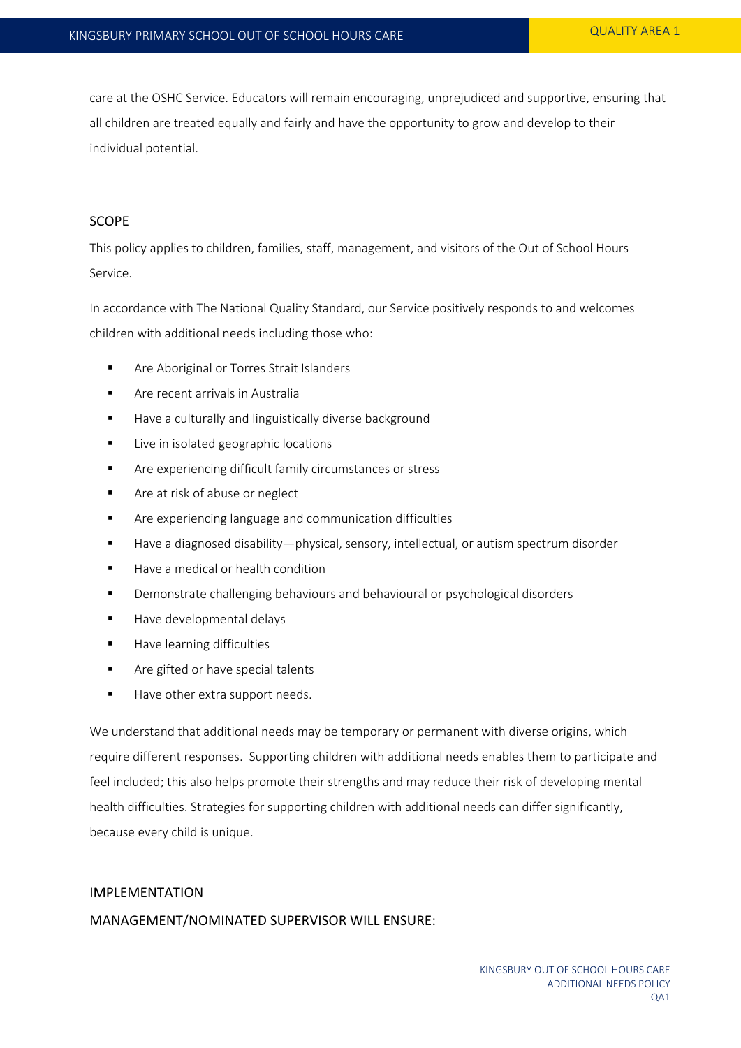care at the OSHC Service. Educators will remain encouraging, unprejudiced and supportive, ensuring that all children are treated equally and fairly and have the opportunity to grow and develop to their individual potential.

#### SCOPE

This policy applies to children, families, staff, management, and visitors of the Out of School Hours Service.

In accordance with The National Quality Standard, our Service positively responds to and welcomes children with additional needs including those who:

- **Are Aboriginal or Torres Strait Islanders**
- **Are recent arrivals in Australia**
- Have a culturally and linguistically diverse background
- **Live in isolated geographic locations**
- **EXECT** Are experiencing difficult family circumstances or stress
- **Fall Are at risk of abuse or neglect**
- Are experiencing language and communication difficulties
- Have a diagnosed disability—physical, sensory, intellectual, or autism spectrum disorder
- $\blacksquare$  Have a medical or health condition
- Demonstrate challenging behaviours and behavioural or psychological disorders
- Have developmental delays
- **Have learning difficulties**
- Are gifted or have special talents
- Have other extra support needs.

We understand that additional needs may be temporary or permanent with diverse origins, which require different responses. Supporting children with additional needs enables them to participate and feel included; this also helps promote their strengths and may reduce their risk of developing mental health difficulties. Strategies for supporting children with additional needs can differ significantly, because every child is unique.

# IMPLEMENTATION MANAGEMENT/NOMINATED SUPERVISOR WILL ENSURE: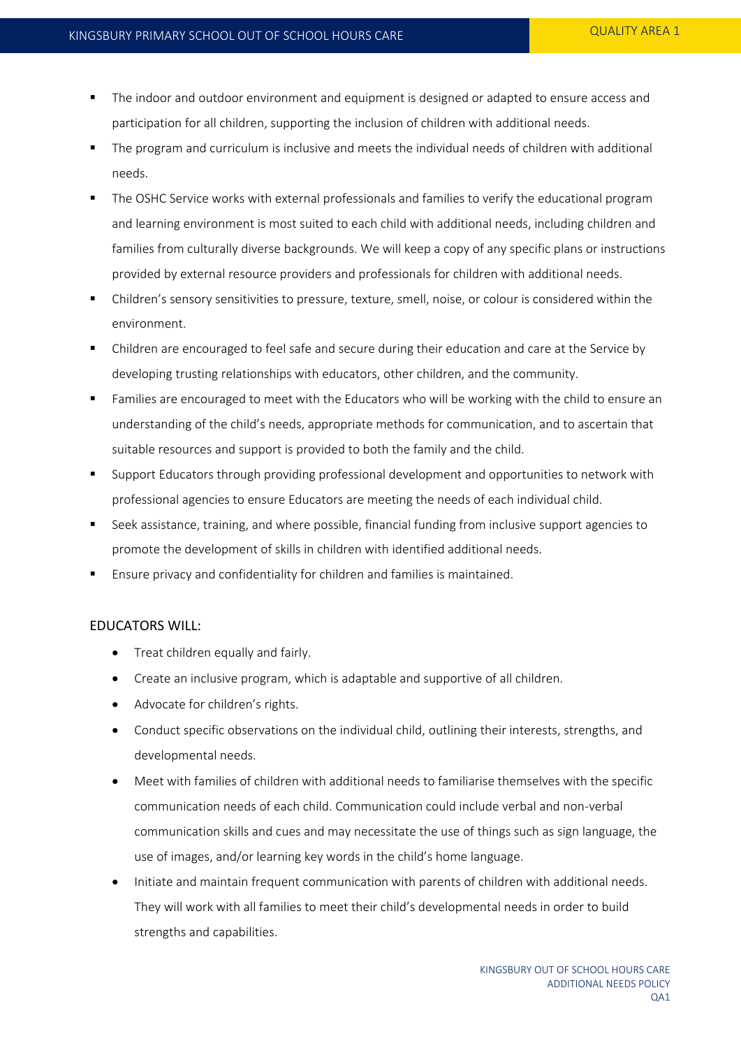- The indoor and outdoor environment and equipment is designed or adapted to ensure access and participation for all children, supporting the inclusion of children with additional needs.
- The program and curriculum is inclusive and meets the individual needs of children with additional needs.
- The OSHC Service works with external professionals and families to verify the educational program and learning environment is most suited to each child with additional needs, including children and families from culturally diverse backgrounds. We will keep a copy of any specific plans or instructions provided by external resource providers and professionals for children with additional needs.
- Children's sensory sensitivities to pressure, texture, smell, noise, or colour is considered within the environment.
- Children are encouraged to feel safe and secure during their education and care at the Service by developing trusting relationships with educators, other children, and the community.
- Families are encouraged to meet with the Educators who will be working with the child to ensure an understanding of the child's needs, appropriate methods for communication, and to ascertain that suitable resources and support is provided to both the family and the child.
- Support Educators through providing professional development and opportunities to network with professional agencies to ensure Educators are meeting the needs of each individual child.
- Seek assistance, training, and where possible, financial funding from inclusive support agencies to promote the development of skills in children with identified additional needs.
- Ensure privacy and confidentiality for children and families is maintained.

# EDUCATORS WILL:

- Treat children equally and fairly.
- Create an inclusive program, which is adaptable and supportive of all children.
- Advocate for children's rights.
- Conduct specific observations on the individual child, outlining their interests, strengths, and developmental needs.
- Meet with families of children with additional needs to familiarise themselves with the specific communication needs of each child. Communication could include verbal and non-verbal communication skills and cues and may necessitate the use of things such as sign language, the use of images, and/or learning key words in the child's home language.
- Initiate and maintain frequent communication with parents of children with additional needs. They will work with all families to meet their child's developmental needs in order to build strengths and capabilities.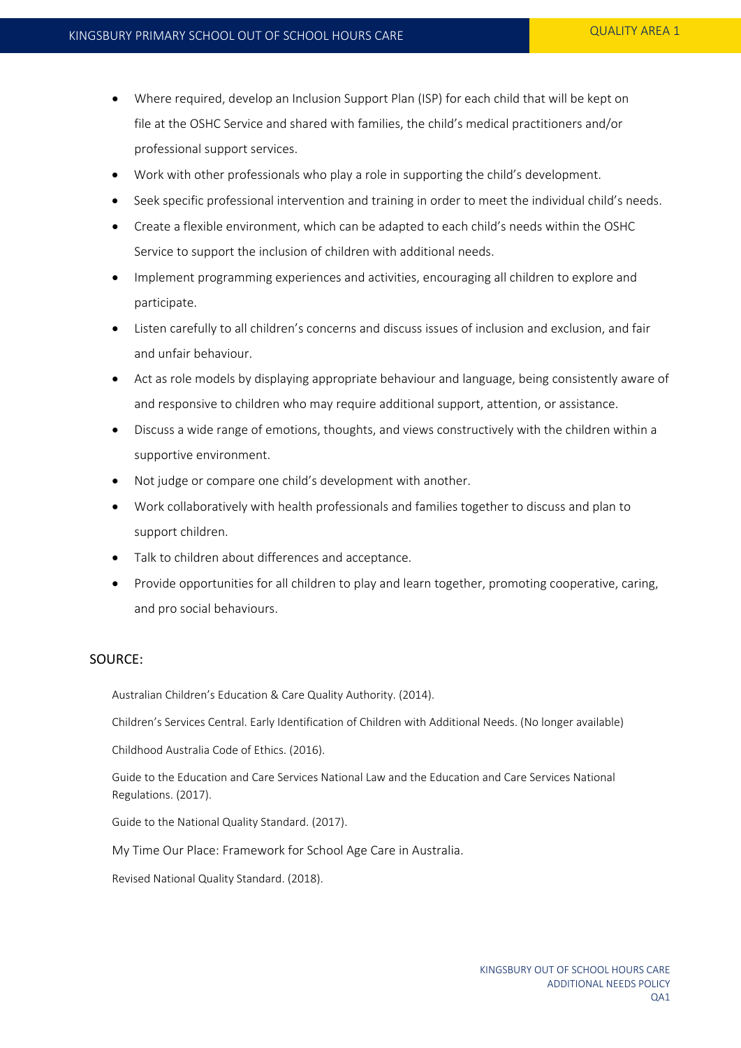- Where required, develop an Inclusion Support Plan (ISP) for each child that will be kept on file at the OSHC Service and shared with families, the child's medical practitioners and/or professional support services.
- Work with other professionals who play a role in supporting the child's development.
- Seek specific professional intervention and training in order to meet the individual child's needs.
- Create a flexible environment, which can be adapted to each child's needs within the OSHC Service to support the inclusion of children with additional needs.
- Implement programming experiences and activities, encouraging all children to explore and participate.
- Listen carefully to all children's concerns and discuss issues of inclusion and exclusion, and fair and unfair behaviour.
- Act as role models by displaying appropriate behaviour and language, being consistently aware of and responsive to children who may require additional support, attention, or assistance.
- Discuss a wide range of emotions, thoughts, and views constructively with the children within a supportive environment.
- Not judge or compare one child's development with another.
- Work collaboratively with health professionals and families together to discuss and plan to support children.
- Talk to children about differences and acceptance.
- Provide opportunities for all children to play and learn together, promoting cooperative, caring, and pro social behaviours.

#### SOURCE:

Australian Children's Education & Care Quality Authority. (2014).

Children's Services Central. Early Identification of Children with Additional Needs. (No longer available)

Childhood Australia Code of Ethics. (2016).

Guide to the Education and Care Services National Law and the Education and Care Services National Regulations. (2017).

Guide to the National Quality Standard. (2017).

My Time Our Place: Framework for School Age Care in Australia.

Revised National Quality Standard. (2018).